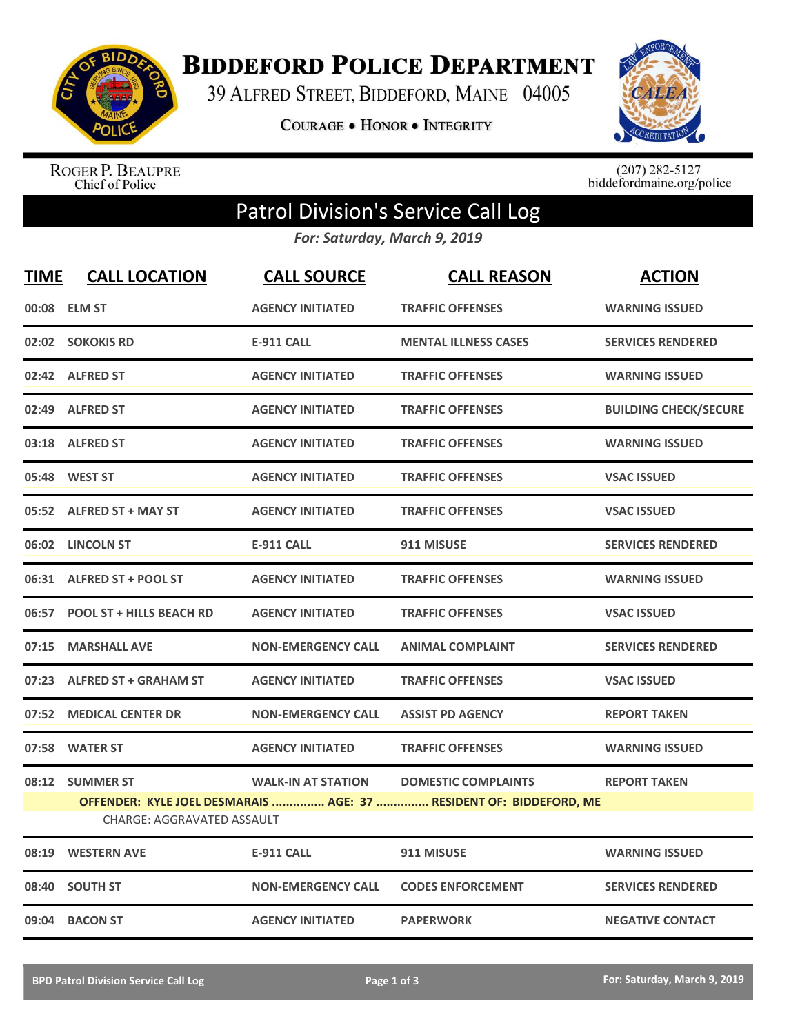

**BIDDEFORD POLICE DEPARTMENT** 

39 ALFRED STREET, BIDDEFORD, MAINE 04005

**COURAGE . HONOR . INTEGRITY** 



ROGER P. BEAUPRE<br>Chief of Police

 $(207)$  282-5127<br>biddefordmaine.org/police

## Patrol Division's Service Call Log

*For: Saturday, March 9, 2019*

| <b>TIME</b> | <b>CALL LOCATION</b>              | <b>CALL SOURCE</b>        | <b>CALL REASON</b>                                                 | <b>ACTION</b>                |
|-------------|-----------------------------------|---------------------------|--------------------------------------------------------------------|------------------------------|
|             | 00:08 ELM ST                      | <b>AGENCY INITIATED</b>   | <b>TRAFFIC OFFENSES</b>                                            | <b>WARNING ISSUED</b>        |
|             | 02:02 SOKOKIS RD                  | <b>E-911 CALL</b>         | <b>MENTAL ILLNESS CASES</b>                                        | <b>SERVICES RENDERED</b>     |
|             | 02:42 ALFRED ST                   | <b>AGENCY INITIATED</b>   | <b>TRAFFIC OFFENSES</b>                                            | <b>WARNING ISSUED</b>        |
|             | 02:49 ALFRED ST                   | <b>AGENCY INITIATED</b>   | <b>TRAFFIC OFFENSES</b>                                            | <b>BUILDING CHECK/SECURE</b> |
|             | 03:18 ALFRED ST                   | <b>AGENCY INITIATED</b>   | <b>TRAFFIC OFFENSES</b>                                            | <b>WARNING ISSUED</b>        |
|             | 05:48 WEST ST                     | <b>AGENCY INITIATED</b>   | <b>TRAFFIC OFFENSES</b>                                            | <b>VSAC ISSUED</b>           |
|             | 05:52 ALFRED ST + MAY ST          | <b>AGENCY INITIATED</b>   | <b>TRAFFIC OFFENSES</b>                                            | <b>VSAC ISSUED</b>           |
|             | 06:02 LINCOLN ST                  | <b>E-911 CALL</b>         | 911 MISUSE                                                         | <b>SERVICES RENDERED</b>     |
|             | 06:31 ALFRED ST + POOL ST         | <b>AGENCY INITIATED</b>   | <b>TRAFFIC OFFENSES</b>                                            | <b>WARNING ISSUED</b>        |
|             | 06:57 POOL ST + HILLS BEACH RD    | <b>AGENCY INITIATED</b>   | <b>TRAFFIC OFFENSES</b>                                            | <b>VSAC ISSUED</b>           |
|             | 07:15 MARSHALL AVE                | <b>NON-EMERGENCY CALL</b> | <b>ANIMAL COMPLAINT</b>                                            | <b>SERVICES RENDERED</b>     |
|             | 07:23 ALFRED ST + GRAHAM ST       | <b>AGENCY INITIATED</b>   | <b>TRAFFIC OFFENSES</b>                                            | <b>VSAC ISSUED</b>           |
|             | 07:52 MEDICAL CENTER DR           | <b>NON-EMERGENCY CALL</b> | <b>ASSIST PD AGENCY</b>                                            | <b>REPORT TAKEN</b>          |
|             | 07:58 WATER ST                    | <b>AGENCY INITIATED</b>   | <b>TRAFFIC OFFENSES</b>                                            | <b>WARNING ISSUED</b>        |
|             | 08:12 SUMMER ST                   | <b>WALK-IN AT STATION</b> | <b>DOMESTIC COMPLAINTS</b>                                         | <b>REPORT TAKEN</b>          |
|             | <b>CHARGE: AGGRAVATED ASSAULT</b> |                           | OFFENDER: KYLE JOEL DESMARAIS  AGE: 37  RESIDENT OF: BIDDEFORD, ME |                              |
|             | 08:19 WESTERN AVE                 | <b>E-911 CALL</b>         | 911 MISUSE                                                         | <b>WARNING ISSUED</b>        |
|             | 08:40 SOUTH ST                    | <b>NON-EMERGENCY CALL</b> | <b>CODES ENFORCEMENT</b>                                           | <b>SERVICES RENDERED</b>     |
|             | 09:04 BACON ST                    | <b>AGENCY INITIATED</b>   | <b>PAPERWORK</b>                                                   | <b>NEGATIVE CONTACT</b>      |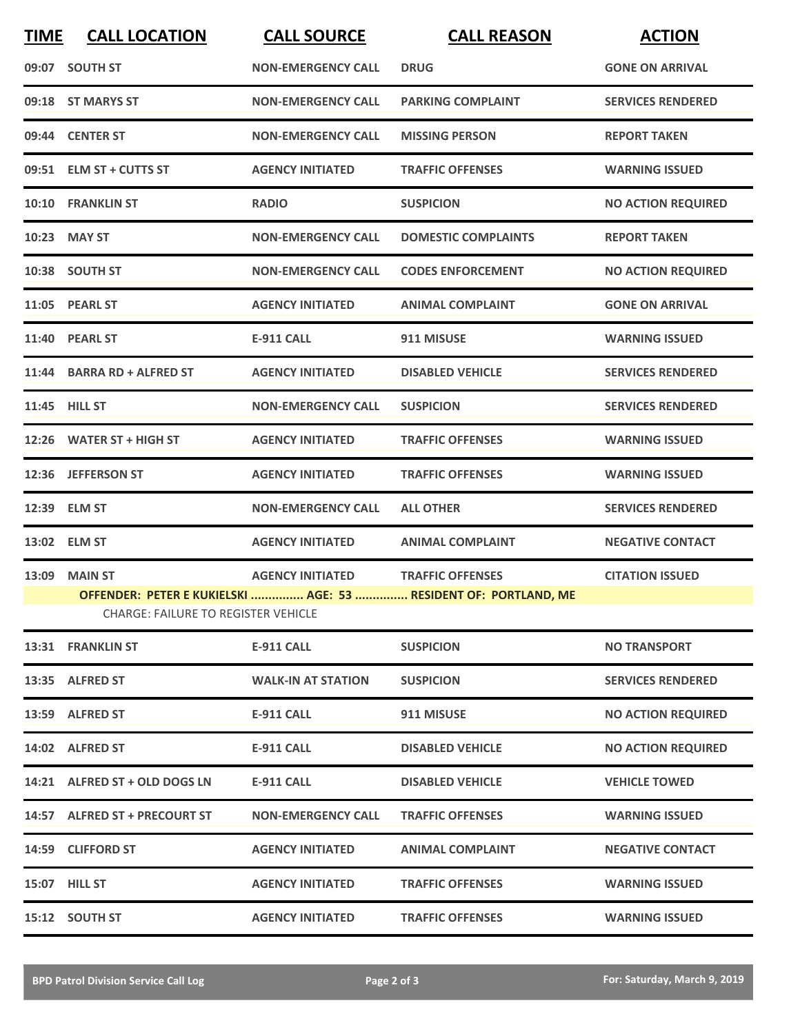| <b>TIME</b> | <b>CALL LOCATION</b>                                                                                          | <b>CALL SOURCE</b>        | <b>CALL REASON</b>         | <b>ACTION</b>             |  |  |  |
|-------------|---------------------------------------------------------------------------------------------------------------|---------------------------|----------------------------|---------------------------|--|--|--|
|             | 09:07 SOUTH ST                                                                                                | <b>NON-EMERGENCY CALL</b> | <b>DRUG</b>                | <b>GONE ON ARRIVAL</b>    |  |  |  |
|             | 09:18 ST MARYS ST                                                                                             | <b>NON-EMERGENCY CALL</b> | <b>PARKING COMPLAINT</b>   | <b>SERVICES RENDERED</b>  |  |  |  |
|             | 09:44 CENTER ST                                                                                               | <b>NON-EMERGENCY CALL</b> | <b>MISSING PERSON</b>      | <b>REPORT TAKEN</b>       |  |  |  |
|             | 09:51 ELM ST + CUTTS ST                                                                                       | <b>AGENCY INITIATED</b>   | <b>TRAFFIC OFFENSES</b>    | <b>WARNING ISSUED</b>     |  |  |  |
|             | 10:10 FRANKLIN ST                                                                                             | <b>RADIO</b>              | <b>SUSPICION</b>           | <b>NO ACTION REQUIRED</b> |  |  |  |
|             | 10:23 MAY ST                                                                                                  | <b>NON-EMERGENCY CALL</b> | <b>DOMESTIC COMPLAINTS</b> | <b>REPORT TAKEN</b>       |  |  |  |
|             | 10:38 SOUTH ST                                                                                                | <b>NON-EMERGENCY CALL</b> | <b>CODES ENFORCEMENT</b>   | <b>NO ACTION REQUIRED</b> |  |  |  |
|             | 11:05 PEARL ST                                                                                                | <b>AGENCY INITIATED</b>   | <b>ANIMAL COMPLAINT</b>    | <b>GONE ON ARRIVAL</b>    |  |  |  |
|             | 11:40 PEARL ST                                                                                                | <b>E-911 CALL</b>         | 911 MISUSE                 | <b>WARNING ISSUED</b>     |  |  |  |
|             | 11:44 BARRA RD + ALFRED ST                                                                                    | <b>AGENCY INITIATED</b>   | <b>DISABLED VEHICLE</b>    | <b>SERVICES RENDERED</b>  |  |  |  |
|             | 11:45 HILL ST                                                                                                 | <b>NON-EMERGENCY CALL</b> | <b>SUSPICION</b>           | <b>SERVICES RENDERED</b>  |  |  |  |
|             | 12:26 WATER ST + HIGH ST                                                                                      | <b>AGENCY INITIATED</b>   | <b>TRAFFIC OFFENSES</b>    | <b>WARNING ISSUED</b>     |  |  |  |
|             | 12:36 JEFFERSON ST                                                                                            | <b>AGENCY INITIATED</b>   | <b>TRAFFIC OFFENSES</b>    | <b>WARNING ISSUED</b>     |  |  |  |
| 12:39       | <b>ELM ST</b>                                                                                                 | <b>NON-EMERGENCY CALL</b> | <b>ALL OTHER</b>           | <b>SERVICES RENDERED</b>  |  |  |  |
|             | 13:02 ELM ST                                                                                                  | <b>AGENCY INITIATED</b>   | <b>ANIMAL COMPLAINT</b>    | <b>NEGATIVE CONTACT</b>   |  |  |  |
| 13:09       | <b>MAIN ST</b>                                                                                                | <b>AGENCY INITIATED</b>   | <b>TRAFFIC OFFENSES</b>    | <b>CITATION ISSUED</b>    |  |  |  |
|             | OFFENDER: PETER E KUKIELSKI  AGE: 53  RESIDENT OF: PORTLAND, ME<br><b>CHARGE: FAILURE TO REGISTER VEHICLE</b> |                           |                            |                           |  |  |  |
|             | 13:31 FRANKLIN ST                                                                                             | <b>E-911 CALL</b>         | <b>SUSPICION</b>           | <b>NO TRANSPORT</b>       |  |  |  |
|             | 13:35 ALFRED ST                                                                                               | <b>WALK-IN AT STATION</b> | <b>SUSPICION</b>           | <b>SERVICES RENDERED</b>  |  |  |  |
|             | 13:59 ALFRED ST                                                                                               | <b>E-911 CALL</b>         | 911 MISUSE                 | <b>NO ACTION REQUIRED</b> |  |  |  |
|             | 14:02 ALFRED ST                                                                                               | E-911 CALL                | <b>DISABLED VEHICLE</b>    | <b>NO ACTION REQUIRED</b> |  |  |  |
|             | 14:21 ALFRED ST + OLD DOGS LN                                                                                 | E-911 CALL                | <b>DISABLED VEHICLE</b>    | <b>VEHICLE TOWED</b>      |  |  |  |
|             | 14:57 ALFRED ST + PRECOURT ST                                                                                 | <b>NON-EMERGENCY CALL</b> | <b>TRAFFIC OFFENSES</b>    | <b>WARNING ISSUED</b>     |  |  |  |
|             | 14:59 CLIFFORD ST                                                                                             | <b>AGENCY INITIATED</b>   | <b>ANIMAL COMPLAINT</b>    | <b>NEGATIVE CONTACT</b>   |  |  |  |
|             | 15:07 HILL ST                                                                                                 | <b>AGENCY INITIATED</b>   | <b>TRAFFIC OFFENSES</b>    | <b>WARNING ISSUED</b>     |  |  |  |
|             | 15:12 SOUTH ST                                                                                                | <b>AGENCY INITIATED</b>   | <b>TRAFFIC OFFENSES</b>    | <b>WARNING ISSUED</b>     |  |  |  |